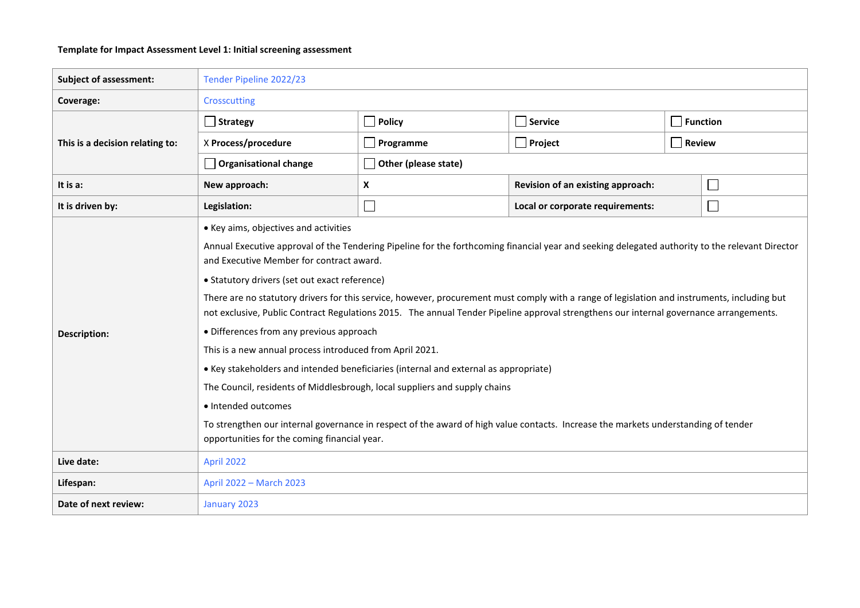## **Template for Impact Assessment Level 1: Initial screening assessment**

| <b>Subject of assessment:</b>   | Tender Pipeline 2022/23                                                                                                                                                                                                                                                                |                       |                                                  |                 |  |  |  |  |
|---------------------------------|----------------------------------------------------------------------------------------------------------------------------------------------------------------------------------------------------------------------------------------------------------------------------------------|-----------------------|--------------------------------------------------|-----------------|--|--|--|--|
| Coverage:                       | Crosscutting                                                                                                                                                                                                                                                                           |                       |                                                  |                 |  |  |  |  |
|                                 | $\Box$ Strategy                                                                                                                                                                                                                                                                        | $\blacksquare$ Policy | $\Box$ Service                                   | $\Box$ Function |  |  |  |  |
| This is a decision relating to: | X Process/procedure                                                                                                                                                                                                                                                                    | $\Box$ Programme      | $\Box$ Project                                   | $\Box$ Review   |  |  |  |  |
|                                 | <b>Organisational change</b>                                                                                                                                                                                                                                                           | Other (please state)  |                                                  |                 |  |  |  |  |
| It is a:                        | New approach:                                                                                                                                                                                                                                                                          | X                     | Revision of an existing approach:<br>$\Box$      |                 |  |  |  |  |
| It is driven by:                | Legislation:                                                                                                                                                                                                                                                                           | $\mathcal{L}$         | Local or corporate requirements:<br>$\mathbf{L}$ |                 |  |  |  |  |
|                                 | • Key aims, objectives and activities                                                                                                                                                                                                                                                  |                       |                                                  |                 |  |  |  |  |
|                                 | Annual Executive approval of the Tendering Pipeline for the forthcoming financial year and seeking delegated authority to the relevant Director<br>and Executive Member for contract award.                                                                                            |                       |                                                  |                 |  |  |  |  |
|                                 | • Statutory drivers (set out exact reference)                                                                                                                                                                                                                                          |                       |                                                  |                 |  |  |  |  |
|                                 | There are no statutory drivers for this service, however, procurement must comply with a range of legislation and instruments, including but<br>not exclusive, Public Contract Regulations 2015. The annual Tender Pipeline approval strengthens our internal governance arrangements. |                       |                                                  |                 |  |  |  |  |
| <b>Description:</b>             | • Differences from any previous approach                                                                                                                                                                                                                                               |                       |                                                  |                 |  |  |  |  |
|                                 | This is a new annual process introduced from April 2021.                                                                                                                                                                                                                               |                       |                                                  |                 |  |  |  |  |
|                                 | • Key stakeholders and intended beneficiaries (internal and external as appropriate)                                                                                                                                                                                                   |                       |                                                  |                 |  |  |  |  |
|                                 | The Council, residents of Middlesbrough, local suppliers and supply chains                                                                                                                                                                                                             |                       |                                                  |                 |  |  |  |  |
|                                 | · Intended outcomes                                                                                                                                                                                                                                                                    |                       |                                                  |                 |  |  |  |  |
|                                 | To strengthen our internal governance in respect of the award of high value contacts. Increase the markets understanding of tender<br>opportunities for the coming financial year.                                                                                                     |                       |                                                  |                 |  |  |  |  |
| Live date:                      | April 2022                                                                                                                                                                                                                                                                             |                       |                                                  |                 |  |  |  |  |
| Lifespan:                       | April 2022 - March 2023                                                                                                                                                                                                                                                                |                       |                                                  |                 |  |  |  |  |
| Date of next review:            | January 2023                                                                                                                                                                                                                                                                           |                       |                                                  |                 |  |  |  |  |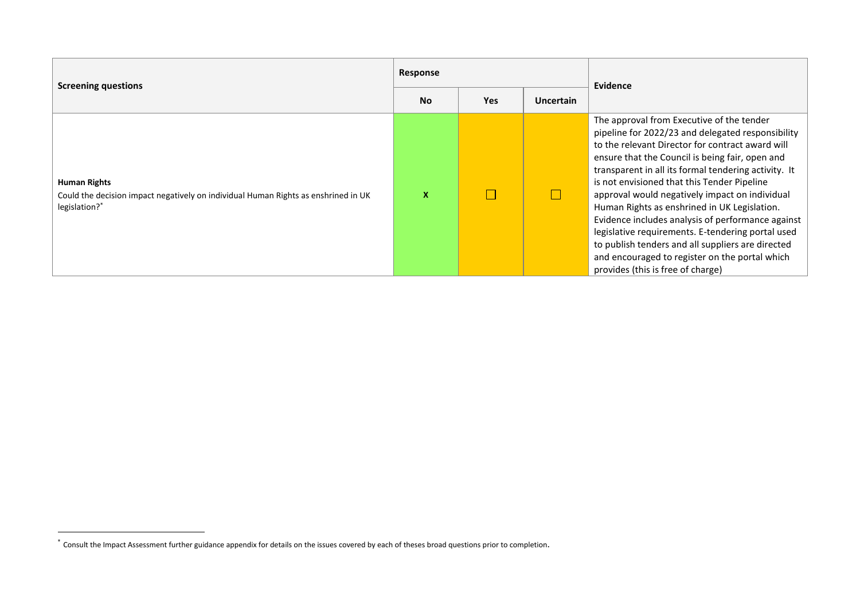| <b>Screening questions</b>                                                                                          |           |            |                  | Evidence                                                                                                                                                                                                                                                                                                                                                                                                                                                                                                                                                                                                                                                             |
|---------------------------------------------------------------------------------------------------------------------|-----------|------------|------------------|----------------------------------------------------------------------------------------------------------------------------------------------------------------------------------------------------------------------------------------------------------------------------------------------------------------------------------------------------------------------------------------------------------------------------------------------------------------------------------------------------------------------------------------------------------------------------------------------------------------------------------------------------------------------|
|                                                                                                                     | <b>No</b> | <b>Yes</b> | <b>Uncertain</b> |                                                                                                                                                                                                                                                                                                                                                                                                                                                                                                                                                                                                                                                                      |
| Human Rights<br>Could the decision impact negatively on individual Human Rights as enshrined in UK<br>legislation?* | x         |            |                  | The approval from Executive of the tender<br>pipeline for 2022/23 and delegated responsibility<br>to the relevant Director for contract award will<br>ensure that the Council is being fair, open and<br>transparent in all its formal tendering activity. It<br>is not envisioned that this Tender Pipeline<br>approval would negatively impact on individual<br>Human Rights as enshrined in UK Legislation.<br>Evidence includes analysis of performance against<br>legislative requirements. E-tendering portal used<br>to publish tenders and all suppliers are directed<br>and encouraged to register on the portal which<br>provides (this is free of charge) |

1

<sup>\*</sup> Consult the Impact Assessment further guidance appendix for details on the issues covered by each of theses broad questions prior to completion.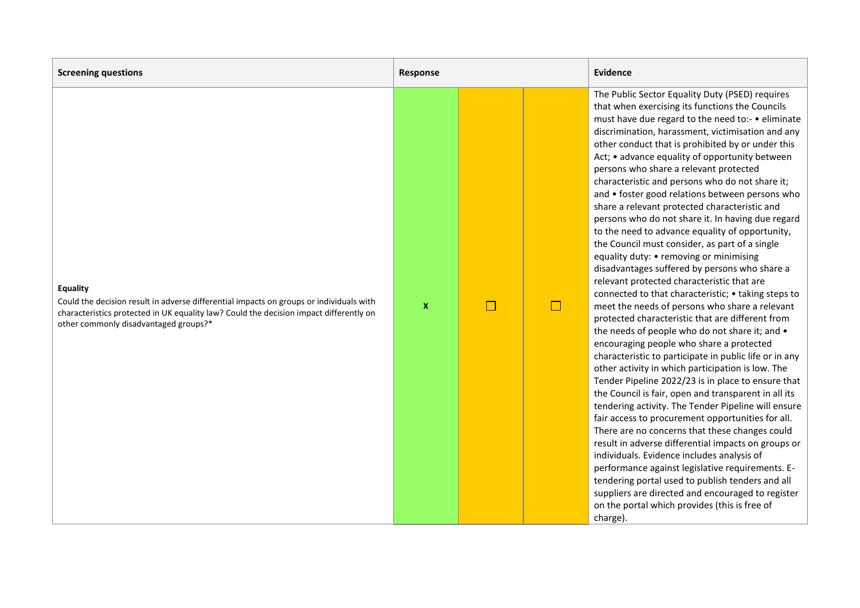| <b>Screening questions</b>                                                                                                                                                                                                                    | Response     |  |        | Evidence                                                                                                                                                                                                                                                                                                                                                                                                                                                                                                                                                                                                                                                                                                                                                                                                                                                                                                                                                                                                                                                                                                                                                                                                                                                                                                                                                                                                                                                                                                                                                                                                                                                                                                                                                                                                      |
|-----------------------------------------------------------------------------------------------------------------------------------------------------------------------------------------------------------------------------------------------|--------------|--|--------|---------------------------------------------------------------------------------------------------------------------------------------------------------------------------------------------------------------------------------------------------------------------------------------------------------------------------------------------------------------------------------------------------------------------------------------------------------------------------------------------------------------------------------------------------------------------------------------------------------------------------------------------------------------------------------------------------------------------------------------------------------------------------------------------------------------------------------------------------------------------------------------------------------------------------------------------------------------------------------------------------------------------------------------------------------------------------------------------------------------------------------------------------------------------------------------------------------------------------------------------------------------------------------------------------------------------------------------------------------------------------------------------------------------------------------------------------------------------------------------------------------------------------------------------------------------------------------------------------------------------------------------------------------------------------------------------------------------------------------------------------------------------------------------------------------------|
| <b>Equality</b><br>Could the decision result in adverse differential impacts on groups or individuals with<br>characteristics protected in UK equality law? Could the decision impact differently on<br>other commonly disadvantaged groups?* | $\mathbf{x}$ |  | $\Box$ | The Public Sector Equality Duty (PSED) requires<br>that when exercising its functions the Councils<br>must have due regard to the need to:- • eliminate<br>discrimination, harassment, victimisation and any<br>other conduct that is prohibited by or under this<br>Act; • advance equality of opportunity between<br>persons who share a relevant protected<br>characteristic and persons who do not share it;<br>and • foster good relations between persons who<br>share a relevant protected characteristic and<br>persons who do not share it. In having due regard<br>to the need to advance equality of opportunity,<br>the Council must consider, as part of a single<br>equality duty: • removing or minimising<br>disadvantages suffered by persons who share a<br>relevant protected characteristic that are<br>connected to that characteristic; • taking steps to<br>meet the needs of persons who share a relevant<br>protected characteristic that are different from<br>the needs of people who do not share it; and •<br>encouraging people who share a protected<br>characteristic to participate in public life or in any<br>other activity in which participation is low. The<br>Tender Pipeline 2022/23 is in place to ensure that<br>the Council is fair, open and transparent in all its<br>tendering activity. The Tender Pipeline will ensure<br>fair access to procurement opportunities for all.<br>There are no concerns that these changes could<br>result in adverse differential impacts on groups or<br>individuals. Evidence includes analysis of<br>performance against legislative requirements. E-<br>tendering portal used to publish tenders and all<br>suppliers are directed and encouraged to register<br>on the portal which provides (this is free of<br>charge). |